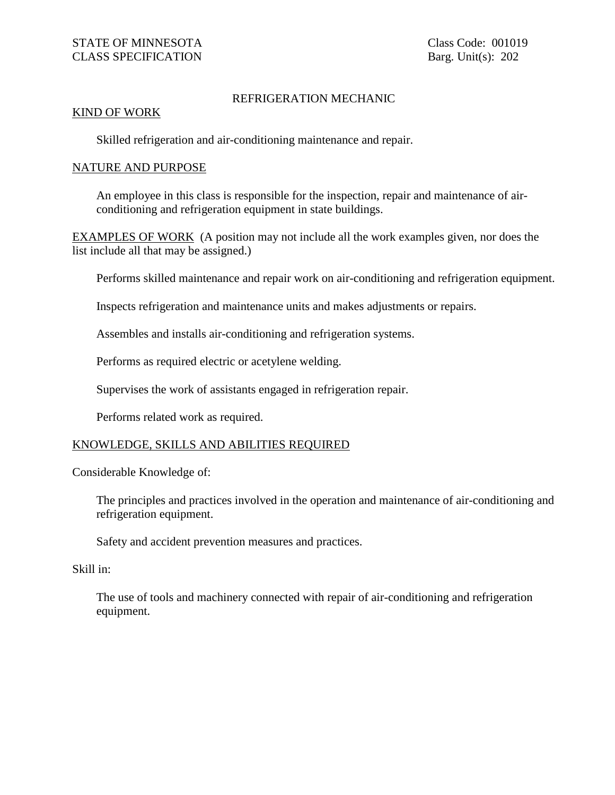## REFRIGERATION MECHANIC

## KIND OF WORK

Skilled refrigeration and air-conditioning maintenance and repair.

## NATURE AND PURPOSE

An employee in this class is responsible for the inspection, repair and maintenance of airconditioning and refrigeration equipment in state buildings.

EXAMPLES OF WORK (A position may not include all the work examples given, nor does the list include all that may be assigned.)

Performs skilled maintenance and repair work on air-conditioning and refrigeration equipment.

Inspects refrigeration and maintenance units and makes adjustments or repairs.

Assembles and installs air-conditioning and refrigeration systems.

Performs as required electric or acetylene welding.

Supervises the work of assistants engaged in refrigeration repair.

Performs related work as required.

## KNOWLEDGE, SKILLS AND ABILITIES REQUIRED

Considerable Knowledge of:

The principles and practices involved in the operation and maintenance of air-conditioning and refrigeration equipment.

Safety and accident prevention measures and practices.

Skill in:

The use of tools and machinery connected with repair of air-conditioning and refrigeration equipment.